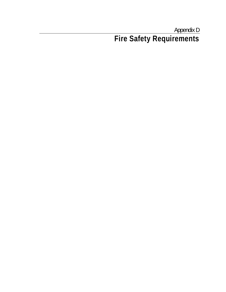Appendix D **Fire Safety Requirements**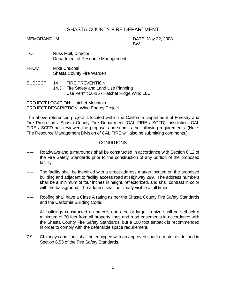## SHASTA COUNTY FIRE DEPARTMENT

MEMORANDUM DATE: May 22, 2008 **BW BW** 

- TO: Russ Mull, Director Department of Resource Management
- FROM: Mike Chuchel Shasta County Fire Warden
- SUBJECT: 14 FIRE PREVENTION 14.3 Fire Safety and Land Use Planning Use Permit 06-16 / Hatchet Ridge Wind LLC

PROJECT LOCATION: Hatchet Mountain PROJECT DESCRIPTION: Wind Energy Project

The above referenced project is located within the California Department of Forestry and Fire Protection / Shasta County Fire Department (CAL FIRE / SCFD) jurisdiction. CAL FIRE / SCFD has reviewed the proposal and submits the following requirements. (Note: The Resource Management Division of CAL FIRE will also be submitting comments.)

## **CONDITIONS**

- Roadways and turnarounds shall be constructed in accordance with Section 6.12 of the Fire Safety Standards prior to the construction of any portion of the proposed facility.
- ----- The facility shall be identified with a street address marker located on the proposed building and adjacent to facility access road at Highway 299. The address numbers shall be a minimum of four inches in height, reflectorized, and shall contrast in color with the background. The address shall be clearly visible at all times.
- ----- Roofing shall have a Class A rating as per the Shasta County Fire Safety Standards and the California Building Code.
- ----- All buildings constructed on parcels one acre or larger in size shall be setback a minimum of 30 feet from all property lines and road easements in accordance with the Shasta County Fire Safety Standards, but a 100 foot setback is recommended in order to comply with the defensible space requirement.
- 7.9 Chimneys and flues shall be equipped with an approved spark arrestor as defined in Section 6.53 of the Fire Safety Standards.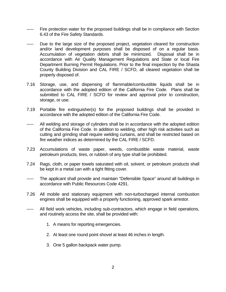- Fire protection water for the proposed buildings shall be in compliance with Section 6.43 of the Fire Safety Standards.
- Due to the large size of the proposed project, vegetation cleared for construction and/or land development purposes shall be disposed of on a regular basis. Accumulation of vegetation debris shall be minimized. Disposal shall be in accordance with Air Quality Management Regulations and State or local Fire Department Burning Permit Regulations. Prior to the final inspection by the Shasta County Building Division and CAL FIRE / SCFD, all cleared vegetation shall be properly disposed of.
- 7.16 Storage, use, and dispensing of flammable/combustible liquids shall be in accordance with the adopted edition of the California Fire Code. Plans shall be submitted to CAL FIRE / SCFD for review and approval prior to construction, storage, or use.
- 7.19 Portable fire extinguisher(s) for the proposed buildings shall be provided in accordance with the adopted edition of the California Fire Code.
- ----- All welding and storage of cylinders shall be in accordance with the adopted edition of the California Fire Code. In addition to welding, other high risk activities such as cutting and grinding shall require welding curtains, and shall be restricted based on fire weather indices as determined by the CAL FIRE / SCFD.
- 7.23 Accumulations of waste paper, weeds, combustible waste material, waste petroleum products, tires, or rubbish of any type shall be prohibited.
- 7.24 Rags, cloth, or paper towels saturated with oil, solvent, or petroleum products shall be kept in a metal can with a tight fitting cover.
- ----- The applicant shall provide and maintain "Defensible Space" around all buildings in accordance with Public Resources Code 4291.
- 7.26 All mobile and stationary equipment with non-turbocharged internal combustion engines shall be equipped with a properly functioning, approved spark arrestor.
- ----- All field work vehicles, including sub-contractors, which engage in field operations, and routinely access the site, shall be provided with:
	- 1. A means for reporting emergencies.
	- 2. At least one round point shovel at least 46 inches in length.
	- 3. One 5 gallon backpack water pump.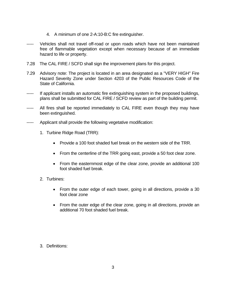- 4. A minimum of one 2-A:10-B:C fire extinguisher.
- Vehicles shall not travel off-road or upon roads which have not been maintained free of flammable vegetation except when necessary because of an immediate hazard to life or property.
- 7.28 The CAL FIRE / SCFD shall sign the improvement plans for this project.
- 7.29 Advisory note: The project is located in an area designated as a "VERY HIGH" Fire Hazard Severity Zone under Section 4203 of the Public Resources Code of the State of California.
- If applicant installs an automatic fire extinguishing system in the proposed buildings, plans shall be submitted for CAL FIRE / SCFD review as part of the building permit.
- ----- All fires shall be reported immediately to CAL FIRE even though they may have been extinguished.
- ----- Applicant shall provide the following vegetative modification:
	- 1. Turbine Ridge Road (TRR):
		- Provide a 100 foot shaded fuel break on the western side of the TRR.
		- From the centerline of the TRR going east, provide a 50 foot clear zone.
		- From the easternmost edge of the clear zone, provide an additional 100 foot shaded fuel break.
	- 2. Turbines:
		- From the outer edge of each tower, going in all directions, provide a 30 foot clear zone
		- From the outer edge of the clear zone, going in all directions, provide an additional 70 foot shaded fuel break.

3. Definitions: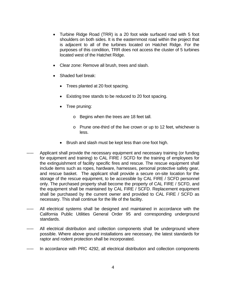- Turbine Ridge Road (TRR) is a 20 foot wide surfaced road with 5 foot shoulders on both sides. It is the easternmost road within the project that is adjacent to all of the turbines located on Hatchet Ridge. For the purposes of this condition, TRR does not access the cluster of 5 turbines located west of the Hatchet Ridge.
- Clear zone: Remove all brush, trees and slash.
- Shaded fuel break:
	- Trees planted at 20 foot spacing.
	- Existing tree stands to be reduced to 20 foot spacing.
	- Tree pruning:
		- o Begins when the trees are 18 feet tall.
		- o Prune one-third of the live crown or up to 12 feet, whichever is less.
	- Brush and slash must be kept less than one foot high.
- Applicant shall provide the necessary equipment and necessary training (or funding for equipment and training) to CAL FIRE / SCFD for the training of employees for the extinguishment of facility specific fires and rescue. The rescue equipment shall include items such as ropes, hardware, harnesses, personal protective safety gear, and rescue basket. The applicant shall provide a secure on-site location for the storage of the rescue equipment, to be accessible by CAL FIRE / SCFD personnel only. The purchased property shall become the property of CAL FIRE / SCFD, and the equipment shall be maintained by CAL FIRE / SCFD. Replacement equipment shall be purchased by the current owner and provided to CAL FIRE / SCFD as necessary. This shall continue for the life of the facility.
- All electrical systems shall be designed and maintained in accordance with the California Public Utilities General Order 95 and corresponding underground standards.
- All electrical distribution and collection components shall be underground where possible. Where above ground installations are necessary, the latest standards for raptor and rodent protection shall be incorporated.
- In accordance with PRC 4292, all electrical distribution and collection components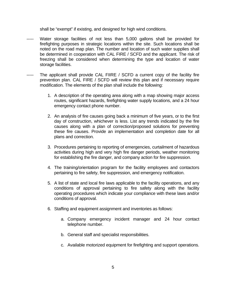shall be "exempt" if existing, and designed for high wind conditions.

- Water storage facilities of not less than 5,000 gallons shall be provided for firefighting purposes in strategic locations within the site. Such locations shall be noted on the road map plan. The number and location of such water supplies shall be determined in cooperation with CAL FIRE / SCFD and the applicant. The risk of freezing shall be considered when determining the type and location of water storage facilities.
- ----- The applicant shall provide CAL FIIRE / SCFD a current copy of the facility fire prevention plan. CAL FIRE / SCFD will review this plan and if necessary require modification. The elements of the plan shall include the following:
	- 1. A description of the operating area along with a map showing major access routes, significant hazards, firefighting water supply locations, and a 24 hour emergency contact phone number.
	- 2. An analysis of fire causes going back a minimum of five years, or to the first day of construction, whichever is less. List any trends indicated by the fire causes along with a plan of correction/proposed solutions for preventing these fire causes. Provide an implementation and completion date for all plans and correction.
	- 3. Procedures pertaining to reporting of emergencies, curtailment of hazardous activities during high and very high fire danger periods, weather monitoring for establishing the fire danger, and company action for fire suppression.
	- 4. The training/orientation program for the facility employees and contactors pertaining to fire safety, fire suppression, and emergency notification.
	- 5. A list of state and local fire laws applicable to the facility operations, and any conditions of approval pertaining to fire safety along with the facility operating procedures which indicate your compliance with these laws and/or conditions of approval.
	- 6. Staffing and equipment assignment and inventories as follows:
		- a. Company emergency incident manager and 24 hour contact telephone number.
		- b. General staff and specialist responsibilities.
		- c. Available motorized equipment for firefighting and support operations.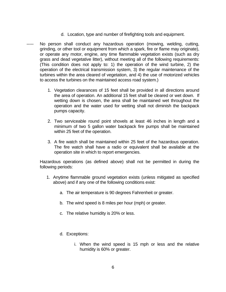- d. Location, type and number of firefighting tools and equipment.
- No person shall conduct any hazardous operation (mowing, welding, cutting, grinding, or other tool or equipment from which a spark, fire or flame may originate), or operate any motor, engine, any time flammable vegetation exists (such as dry grass and dead vegetative litter), without meeting all of the following requirements: (This condition does not apply to: 1) the operation of the wind turbine, 2) the operation of the electrical transmission system, 3) the regular maintenance of the turbines within the area cleared of vegetation, and 4) the use of motorized vehicles to access the turbines on the maintained access road system.)
	- 1. Vegetation clearances of 15 feet shall be provided in all directions around the area of operation. An additional 15 feet shall be cleared or wet down. If wetting down is chosen, the area shall be maintained wet throughout the operation and the water used for wetting shall not diminish the backpack pumps capacity.
	- 2. Two serviceable round point shovels at least 46 inches in length and a minimum of two 5 gallon water backpack fire pumps shall be maintained within 25 feet of the operation.
	- 3. A fire watch shall be maintained within 25 feet of the hazardous operation. The fire watch shall have a radio or equivalent shall be available at the operation site in which to report emergencies.

 Hazardous operations (as defined above) shall not be permitted in during the following periods:

- 1. Anytime flammable ground vegetation exists (unless mitigated as specified above) and if any one of the following conditions exist:
	- a. The air temperature is 90 degrees Fahrenheit or greater.
	- b. The wind speed is 8 miles per hour (mph) or greater.
	- c. The relative humidity is 20% or less.
	- d. Exceptions:
		- i. When the wind speed is 15 mph or less and the relative humidity is 60% or greater.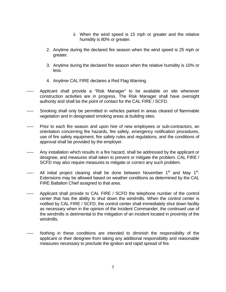- ii. When the wind speed is 15 mph or greater and the relative humidity is 80% or greater.
- 2. Anytime during the declared fire season when the wind speed is 25 mph or greater.
- 3. Anytime during the declared fire season when the relative humidity is 10% or less.
- 4. Anytime CAL FIRE declares a Red Flag Warning.
- Applicant shall provide a "Risk Manager" to be available on site whenever construction activities are in progress. The Risk Manager shall have oversight authority and shall be the point of contact for the CAL FIRE / SCFD.
- Smoking shall only be permitted in vehicles parked in areas cleared of flammable vegetation and in designated smoking areas at building sites.
- Prior to each fire season and upon hire of new employees or sub-contractors, an orientation concerning fire hazards, fire safety, emergency notification procedures, use of fire safety equipment, fire safety rules and regulations, and the conditions of approval shall be provided by the employer.
- Any installation which results in a fire hazard, shall be addressed by the applicant or designee, and measures shall taken to prevent or mitigate the problem. CAL FIRE / SCFD may also require measures to mitigate or correct any such problem.
- ----- All initial project clearing shall be done between November 1<sup>st</sup> and May 1<sup>st</sup>. Extensions may be allowed based on weather conditions as determined by the CAL FIRE Battalion Chief assigned to that area.
- ----- Applicant shall provide to CAL FIRE / SCFD the telephone number of the control center that has the ability to shut down the windmills. When the control center is notified by CAL FIRE / SCFD, the control center shall immediately shut down facility as necessary when in the opinion of the Incident Commander, the continued use of the windmills is detrimental to the mitigation of an incident located in proximity of the windmills.
- Nothing in these conditions are intended to diminish the responsibility of the applicant or their designee from taking any additional responsibility and reasonable measures necessary to preclude the ignition and rapid spread of fire.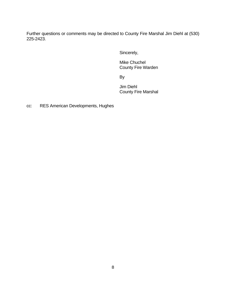Further questions or comments may be directed to County Fire Marshal Jim Diehl at (530) 225-2423.

Sincerely,

 Mike Chuchel County Fire Warden

and the contract of the By-

 Jim Diehl County Fire Marshal

cc: RES American Developments, Hughes